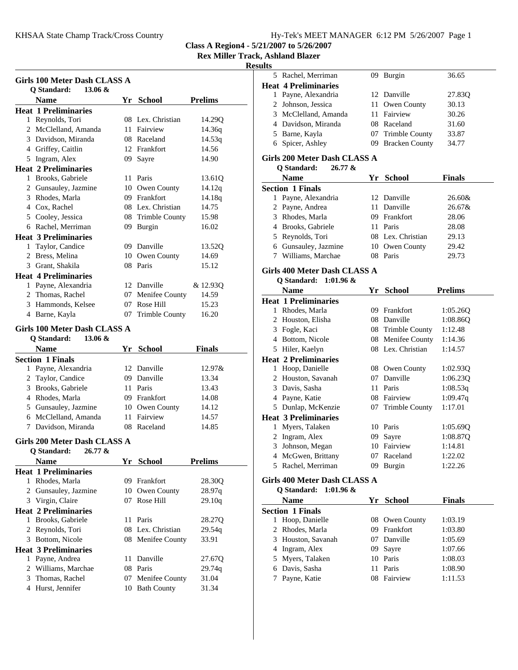### **Rex Miller Track, Ashland Blazer**

#### **Results** 5 36.65 Rachel, Merriman 09 Burgin

**Heat 4 Preliminaries**

|   | <b>Girls 100 Meter Dash CLASS A</b> |    |                   |                |
|---|-------------------------------------|----|-------------------|----------------|
|   | Q Standard:<br>13.06 $&$            |    |                   |                |
|   | Name                                |    | Yr School         | <b>Prelims</b> |
|   | <b>Heat 1 Preliminaries</b>         |    |                   |                |
|   | 1 Reynolds, Tori                    |    | 08 Lex. Christian | 14.29Q         |
|   | 2 McClelland, Amanda                |    | 11 Fairview       | 14.36q         |
|   | 3 Davidson, Miranda                 |    | 08 Raceland       | 14.53q         |
|   | 4 Griffey, Caitlin                  |    | 12 Frankfort      | 14.56          |
|   | 5 Ingram, Alex                      |    | 09 Sayre          | 14.90          |
|   | <b>Heat 2 Preliminaries</b>         |    |                   |                |
|   | 1 Brooks, Gabriele                  |    | 11 Paris          | 13.61Q         |
|   | 2 Gunsauley, Jazmine                |    | 10 Owen County    | 14.12q         |
|   | 3 Rhodes, Marla                     |    | 09 Frankfort      | 14.18q         |
|   | 4 Cox, Rachel                       |    | 08 Lex. Christian | 14.75          |
|   | 5 Cooley, Jessica                   |    | 08 Trimble County | 15.98          |
|   | 6 Rachel, Merriman                  |    | 09 Burgin         | 16.02          |
|   | <b>Heat 3 Preliminaries</b>         |    |                   |                |
|   | 1 Taylor, Candice                   |    | 09 Danville       | 13.52Q         |
|   | 2 Bress, Melina                     |    | 10 Owen County    | 14.69          |
|   | 3 Grant, Shakila                    |    | 08 Paris          | 15.12          |
|   | <b>Heat 4 Preliminaries</b>         |    |                   |                |
|   | 1 Payne, Alexandria                 |    | 12 Danville       | & 12.93Q       |
|   | 2 Thomas, Rachel                    |    | 07 Menifee County | 14.59          |
|   | 3 Hammonds, Kelsee                  |    | 07 Rose Hill      | 15.23          |
|   | 4 Barne, Kayla                      |    | 07 Trimble County | 16.20          |
|   | Girls 100 Meter Dash CLASS A        |    |                   |                |
|   | Q Standard:<br>13.06 &              |    |                   |                |
|   |                                     |    |                   |                |
|   | <b>Name</b>                         |    | Yr School         | <b>Finals</b>  |
|   | <b>Section 1 Finals</b>             |    |                   |                |
|   | 1 Payne, Alexandria                 |    | 12 Danville       | 12.97&         |
|   | 2 Taylor, Candice                   |    | 09 Danville       | 13.34          |
|   | 3 Brooks, Gabriele                  |    | 11 Paris          | 13.43          |
|   | 4 Rhodes, Marla                     |    | 09 Frankfort      | 14.08          |
|   | 5 Gunsauley, Jazmine                |    | 10 Owen County    | 14.12          |
|   | 6 McClelland, Amanda                |    | 11 Fairview       | 14.57          |
| 7 | Davidson, Miranda                   |    | 08 Raceland       | 14.85          |
|   | Girls 200 Meter Dash CLASS A        |    |                   |                |
|   | O Standard: $26.77 \&$              |    |                   |                |
|   | <b>Name</b>                         |    | Yr School         | Prelims        |
|   | <b>Heat 1 Preliminaries</b>         |    |                   |                |
|   | 1 Rhodes, Marla                     | 09 | Frankfort         | 28.30Q         |
|   | 2 Gunsauley, Jazmine                |    | 10 Owen County    | 28.97q         |
|   | 3 Virgin, Claire                    | 07 | Rose Hill         | 29.10q         |
|   | <b>Heat 2 Preliminaries</b>         |    |                   |                |
|   | 1 Brooks, Gabriele                  |    | 11 Paris          | 28.27Q         |
| 2 | Reynolds, Tori                      |    | 08 Lex. Christian | 29.54q         |
|   | 3 Bottom, Nicole                    |    | 08 Menifee County | 33.91          |
|   | <b>Heat 3 Preliminaries</b>         |    |                   |                |
|   | 1 Payne, Andrea                     | 11 | Danville          | 27.67Q         |
|   | 2 Williams, Marchae                 |    | 08 Paris          | 29.74q         |
|   | 3 Thomas, Rachel                    | 07 | Menifee County    | 31.04          |
|   | 4 Hurst, Jennifer                   |    | 10 Bath County    | 31.34          |

| 1                      | Payne, Alexandria                   |    | 12 Danville       | 27.83Q         |  |
|------------------------|-------------------------------------|----|-------------------|----------------|--|
|                        | 2 Johnson, Jessica                  | 11 | Owen County       | 30.13          |  |
|                        | 3 McClelland, Amanda                |    | 11 Fairview       | 30.26          |  |
|                        | 4 Davidson, Miranda                 |    | 08 Raceland       | 31.60          |  |
|                        | 5 Barne, Kayla                      |    | 07 Trimble County | 33.87          |  |
|                        | 6 Spicer, Ashley                    |    | 09 Bracken County | 34.77          |  |
|                        | Girls 200 Meter Dash CLASS A        |    |                   |                |  |
| O Standard:<br>26.77 & |                                     |    |                   |                |  |
|                        | <b>Name</b>                         | Yr | <b>School</b>     | <b>Finals</b>  |  |
|                        | <b>Section 1 Finals</b>             |    |                   |                |  |
|                        | 1 Payne, Alexandria                 |    | 12 Danville       | 26.60&         |  |
|                        | 2 Payne, Andrea                     |    | 11 Danville       | 26.67&         |  |
|                        | 3 Rhodes, Marla                     |    | 09 Frankfort      | 28.06          |  |
|                        | 4 Brooks, Gabriele                  |    | 11 Paris          | 28.08          |  |
|                        | 5 Reynolds, Tori                    |    | 08 Lex. Christian | 29.13          |  |
|                        | 6 Gunsauley, Jazmine                |    | 10 Owen County    | 29.42          |  |
|                        | 7 Williams, Marchae                 |    | 08 Paris          | 29.73          |  |
|                        |                                     |    |                   |                |  |
|                        | <b>Girls 400 Meter Dash CLASS A</b> |    |                   |                |  |
|                        | Q Standard:<br>$1:01.96 \&$         |    |                   |                |  |
|                        | <b>Name</b>                         |    | Yr School         | <b>Prelims</b> |  |
|                        | <b>Heat 1 Preliminaries</b>         |    |                   |                |  |
|                        | 1 Rhodes, Marla                     |    | 09 Frankfort      | 1:05.26Q       |  |
|                        | 2 Houston, Elisha                   |    | 08 Danville       | 1:08.860       |  |
|                        | 3 Fogle, Kaci                       |    | 08 Trimble County | 1:12.48        |  |
|                        | 4 Bottom, Nicole                    |    | 08 Menifee County | 1:14.36        |  |
|                        | 5 Hiler, Kaelyn                     |    | 08 Lex. Christian | 1:14.57        |  |
|                        | <b>Heat 2 Preliminaries</b>         |    |                   |                |  |
|                        | 1 Hoop, Danielle                    |    | 08 Owen County    | 1:02.93Q       |  |
|                        | 2 Houston, Savanah                  |    | 07 Danville       | 1:06.23Q       |  |
|                        | 3 Davis, Sasha                      |    | 11 Paris          | 1:08.53q       |  |
|                        | 4 Payne, Katie                      |    | 08 Fairview       | 1:09.47q       |  |
|                        | 5 Dunlap, McKenzie                  | 07 | Trimble County    | 1:17.01        |  |
|                        | <b>Heat 3 Preliminaries</b>         |    |                   |                |  |
|                        | 1 Myers, Talaken                    |    | 10 Paris          | 1:05.69Q       |  |
|                        | 2 Ingram, Alex                      |    | 09 Sayre          | 1:08.87Q       |  |
|                        | 3 Johnson, Megan                    |    | 10 Fairview       | 1:14.81        |  |
|                        | 4 McGwen, Brittany                  |    | 07 Raceland       | 1:22.02        |  |
|                        | 5 Rachel, Merriman                  | 09 | Burgin            | 1:22.26        |  |
|                        | <b>Girls 400 Meter Dash CLASS A</b> |    |                   |                |  |
|                        | Q Standard:<br>$1:01.96 \&$         |    |                   |                |  |
|                        | <b>Name</b>                         |    | Yr School         | <b>Finals</b>  |  |
|                        | <b>Section 1 Finals</b>             |    |                   |                |  |
| 1                      | Hoop, Danielle                      | 08 | Owen County       | 1:03.19        |  |
| 2                      | Rhodes, Marla                       |    | 09 Frankfort      | 1:03.80        |  |
| 3                      | Houston, Savanah                    |    | 07 Danville       | 1:05.69        |  |
|                        | 4 Ingram, Alex                      |    | 09 Sayre          | 1:07.66        |  |
| 5                      | Myers, Talaken                      |    | 10 Paris          | 1:08.03        |  |
| 6                      | Davis, Sasha                        | 11 | Paris             | 1:08.90        |  |
| 7                      | Payne, Katie                        | 08 | Fairview          | 1:11.53        |  |
|                        |                                     |    |                   |                |  |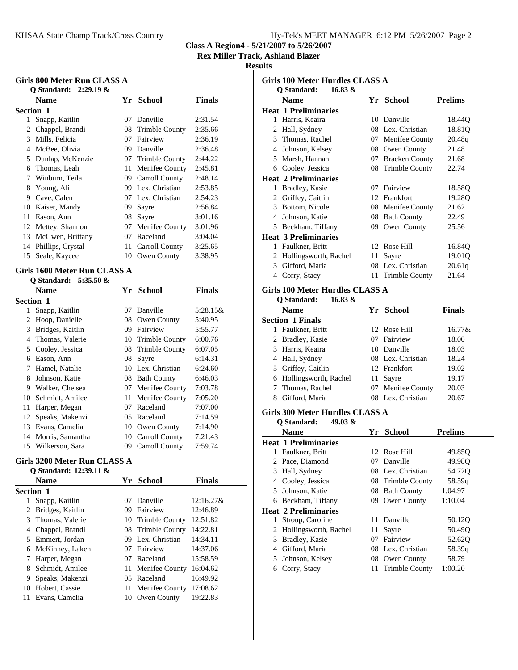|  | Hy-Tek's MEET MANAGER 6:12 PM 5/26/2007 Page 2 |  |  |
|--|------------------------------------------------|--|--|
|  |                                                |  |  |

**Rex Miller Track, Ashland Blazer**

#### **Results**

| Girls 800 Meter Run CLASS A<br>Q Standard: $2:29.19 \&$ |                   |     |                   |               |
|---------------------------------------------------------|-------------------|-----|-------------------|---------------|
|                                                         | <b>Name</b>       | Yr. | <b>School</b>     | <b>Finals</b> |
| Section 1                                               |                   |     |                   |               |
| 1                                                       | Snapp, Kaitlin    | 07. | Danville          | 2:31.54       |
| 2                                                       | Chappel, Brandi   |     | 08 Trimble County | 2:35.66       |
| 3                                                       | Mills, Felicia    | 07  | Fairview          | 2:36.19       |
| 4                                                       | McBee, Olivia     | 09  | Danville          | 2:36.48       |
| 5                                                       | Dunlap, McKenzie  | 07  | Trimble County    | 2:44.22       |
| 6                                                       | Thomas, Leah      | 11  | Menifee County    | 2:45.81       |
| 7                                                       | Winburn, Teila    | 09  | Carroll County    | 2:48.14       |
| 8                                                       | Young, Ali        | 09. | Lex. Christian    | 2:53.85       |
| 9                                                       | Cave, Calen       |     | 07 Lex. Christian | 2:54.23       |
| 10                                                      | Kaiser, Mandy     | 09  | Sayre             | 2:56.84       |
| 11                                                      | Eason, Ann        | 08  | Sayre             | 3:01.16       |
| 12                                                      | Mettey, Shannon   | 07  | Menifee County    | 3:01.96       |
| 13                                                      | McGwen, Brittany  | 07  | Raceland          | 3:04.04       |
| 14                                                      | Phillips, Crystal | 11  | Carroll County    | 3:25.65       |
| 15                                                      | Seale, Kaycee     | 10  | Owen County       | 3:38.95       |

#### **Girls 1600 Meter Run CLASS A**

#### **Q Standard: 5:35.50 &**

|                  | <b>Name</b>      | Yr  | <b>School</b>         | <b>Finals</b> |
|------------------|------------------|-----|-----------------------|---------------|
| <b>Section 1</b> |                  |     |                       |               |
| 1                | Snapp, Kaitlin   | 07  | Danville              | 5:28.15&      |
| 2                | Hoop, Danielle   | 08  | Owen County           | 5:40.95       |
| 3                | Bridges, Kaitlin | 09  | Fairview              | 5:55.77       |
| 4                | Thomas, Valerie  | 10  | <b>Trimble County</b> | 6:00.76       |
| 5                | Cooley, Jessica  |     | 08 Trimble County     | 6:07.05       |
| 6                | Eason, Ann       | 08  | Sayre                 | 6:14.31       |
| 7                | Hamel, Natalie   | 10  | Lex. Christian        | 6:24.60       |
| 8                | Johnson, Katie   | 08  | <b>Bath County</b>    | 6:46.03       |
| 9                | Walker, Chelsea  | 07  | Menifee County        | 7:03.78       |
| 10               | Schmidt, Amilee  | 11  | Menifee County        | 7:05.20       |
| 11               | Harper, Megan    | 07  | Raceland              | 7:07.00       |
| 12               | Speaks, Makenzi  | 05. | Raceland              | 7:14.59       |
| 13               | Evans, Camelia   | 10  | Owen County           | 7:14.90       |
| 14               | Morris, Samantha | 10  | Carroll County        | 7:21.43       |
| 15               | Wilkerson, Sara  | 09  | Carroll County        | 7:59.74       |

#### **Girls 3200 Meter Run CLASS A Q Standard: 12:39.11 &**

| V Staliual u. 14.99.11 & |    |                   |               |
|--------------------------|----|-------------------|---------------|
| <b>Name</b>              |    | Yr School         | <b>Finals</b> |
| <b>Section 1</b>         |    |                   |               |
| Snapp, Kaitlin<br>1      | 07 | Danville          | $12:16.27\&$  |
| Bridges, Kaitlin<br>2    | 09 | Fairview          | 12:46.89      |
| Thomas, Valerie<br>3     |    | 10 Trimble County | 12:51.82      |
| Chappel, Brandi<br>4     |    | 08 Trimble County | 14:22.81      |
| Emmert, Jordan<br>5      |    | 09 Lex. Christian | 14:34.11      |
| McKinney, Laken<br>6     | 07 | Fairview          | 14:37.06      |
| Harper, Megan            | 07 | Raceland          | 15:58.59      |
| Schmidt, Amilee<br>8     |    | 11 Menifee County | 16:04.62      |
| Speaks, Makenzi<br>9     |    | 05 Raceland       | 16:49.92      |
| Hobert, Cassie<br>10     |    | 11 Menifee County | 17:08.62      |
| Evans, Camelia           | 10 | Owen County       | 19:22.83      |
|                          |    |                   |               |

| Girls 100 Meter Hurdles CLASS A   |      |                       |                |  |
|-----------------------------------|------|-----------------------|----------------|--|
| $16.83 \&$<br>Q Standard:<br>Name | Yr - | <b>School</b>         | <b>Prelims</b> |  |
| <b>Heat 1 Preliminaries</b>       |      |                       |                |  |
| Harris, Keaira<br>1.              | 10   | Danville              | 18.44O         |  |
| 2 Hall, Sydney                    | 08.  | Lex. Christian        | 18.81Q         |  |
| Thomas, Rachel<br>3               | 07   | Menifee County        | 20.48q         |  |
| Johnson, Kelsey<br>4              |      | 08 Owen County        | 21.48          |  |
| Marsh, Hannah<br>5.               | 07   | <b>Bracken County</b> | 21.68          |  |
| Cooley, Jessica<br>6              | 08   | <b>Trimble County</b> | 22.74          |  |
| <b>Heat 2 Preliminaries</b>       |      |                       |                |  |
| Bradley, Kasie<br>1               | 07   | Fairview              | 18.58Q         |  |
| Griffey, Caitlin<br>2             | 12   | Frankfort             | 19.28Q         |  |
| Bottom, Nicole<br>3               |      | 08 Menifee County     | 21.62          |  |
| Johnson, Katie<br>4               |      | 08 Bath County        | 22.49          |  |
| Beckham, Tiffany<br>5.            | 09   | Owen County           | 25.56          |  |
| <b>Heat 3 Preliminaries</b>       |      |                       |                |  |
| Faulkner, Britt<br>1              | 12.  | Rose Hill             | 16.84Q         |  |
| Hollingsworth, Rachel<br>2        | 11   | Sayre                 | 19.01Q         |  |
| Gifford, Maria<br>3               | 08.  | Lex. Christian        | 20.61q         |  |
| Corry, Stacy<br>4                 | 11   | <b>Trimble County</b> | 21.64          |  |
| Girls 100 Meter Hurdles CLASS A   |      |                       |                |  |

#### **Q Standard: 16.83 & Name Finals Yr School Section 1 Finals** 1 Faulkner, Britt 12 Rose Hill 16.77& 2 Bradley, Kasie 07 Fairview 18.00 3 18.03 Harris, Keaira 10 Danville 4 Hall, Sydney 08 Lex. Christian 18.24 5 Griffey, Caitlin 12 Frankfort 19.02 6 Hollingsworth, Rachel 11 Sayre 19.17<br>7 Thomas, Rachel 07 Menifee County 20.03 07 Menifee County 20.03 8 Gifford, Maria 08 Lex. Christian 20.67

#### **Girls 300 Meter Hurdles CLASS A**

**Q Standard: 49.03 &**

|    | Name                        | Yr      | <b>School</b>     | <b>Prelims</b> |
|----|-----------------------------|---------|-------------------|----------------|
|    | <b>Heat 1 Preliminaries</b> |         |                   |                |
|    | Faulkner, Britt             |         | 12 Rose Hill      | 49.85Q         |
| 2  | Pace, Diamond               | $^{07}$ | Danville          | 49.98O         |
|    | 3 Hall, Sydney              |         | 08 Lex. Christian | 54.72Q         |
| 4  | Cooley, Jessica             |         | 08 Trimble County | 58.59q         |
| 5. | Johnson, Katie              |         | 08 Bath County    | 1:04.97        |
|    | 6 Beckham, Tiffany          |         | 09 Owen County    | 1:10.04        |
|    | <b>Heat 2 Preliminaries</b> |         |                   |                |
| 1  | Stroup, Caroline            |         | 11 Danville       | 50.12Q         |
|    | 2 Hollingsworth, Rachel     | 11.     | Sayre             | 50.49Q         |
| 3  | Bradley, Kasie              | 07      | Fairview          | 52.62Q         |
| 4  | Gifford, Maria              |         | 08 Lex. Christian | 58.39q         |
| 5  | Johnson, Kelsey             |         | 08 Owen County    | 58.79          |
| 6  | Corry, Stacy                |         | 11 Trimble County | 1:00.20        |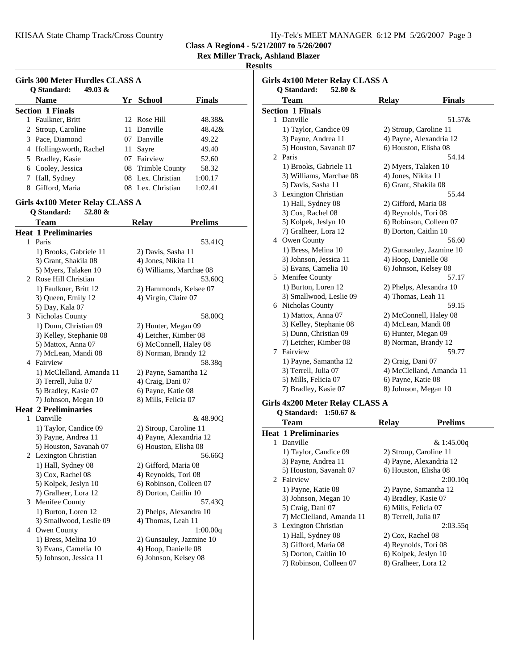**Rex Miller Track, Ashland Blazer**

#### **Results**

|    | Girls 300 Meter Hurdles CLASS A<br>49.03 $\&$<br>Q Standard: |    |                   |               |  |
|----|--------------------------------------------------------------|----|-------------------|---------------|--|
|    | <b>Name</b>                                                  |    | Yr School         | <b>Finals</b> |  |
|    | <b>Section 1 Finals</b>                                      |    |                   |               |  |
| 1. | Faulkner, Britt                                              |    | 12 Rose Hill      | 48.38&        |  |
|    | 2 Stroup, Caroline                                           |    | 11 Danville       | 48.42&        |  |
|    | 3 Pace, Diamond                                              |    | 07 Danville       | 49.22         |  |
|    | 4 Hollingsworth, Rachel                                      |    | 11 Sayre          | 49.40         |  |
|    | 5 Bradley, Kasie                                             | 07 | Fairview          | 52.60         |  |
|    | 6 Cooley, Jessica                                            |    | 08 Trimble County | 58.32         |  |
|    | 7 Hall, Sydney                                               |    | 08 Lex. Christian | 1:00.17       |  |
|    | Gifford, Maria                                               |    | 08 Lex. Christian | 1:02.41       |  |

#### **Girls 4x100 Meter Relay CLASS A**

### **Q Standard: 52.80 &**

|              | Team                        | <b>Relay</b>             | <b>Prelims</b> |
|--------------|-----------------------------|--------------------------|----------------|
|              | <b>Heat 1 Preliminaries</b> |                          |                |
| $\mathbf{1}$ | Paris                       |                          | 53.41Q         |
|              | 1) Brooks, Gabriele 11      | 2) Davis, Sasha 11       |                |
|              | 3) Grant, Shakila 08        | 4) Jones, Nikita 11      |                |
|              | 5) Myers, Talaken 10        | 6) Williams, Marchae 08  |                |
| 2            | Rose Hill Christian         |                          | 53.60Q         |
|              | 1) Faulkner, Britt 12       | 2) Hammonds, Kelsee 07   |                |
|              | 3) Queen, Emily 12          | 4) Virgin, Claire 07     |                |
|              | 5) Day, Kala 07             |                          |                |
| 3            | Nicholas County             |                          | 58.00Q         |
|              | 1) Dunn, Christian 09       | 2) Hunter, Megan 09      |                |
|              | 3) Kelley, Stephanie 08     | 4) Letcher, Kimber 08    |                |
|              | 5) Mattox, Anna 07          | 6) McConnell, Haley 08   |                |
|              | 7) McLean, Mandi 08         | 8) Norman, Brandy 12     |                |
|              | 4 Fairview                  |                          | 58.38q         |
|              | 1) McClelland, Amanda 11    | 2) Payne, Samantha 12    |                |
|              | 3) Terrell, Julia 07        | 4) Craig, Dani 07        |                |
|              | 5) Bradley, Kasie 07        | 6) Payne, Katie 08       |                |
|              | 7) Johnson, Megan 10        | 8) Mills, Felicia 07     |                |
|              | <b>Heat 2 Preliminaries</b> |                          |                |
| 1.           | Danville                    |                          | & 48.90Q       |
|              | 1) Taylor, Candice 09       | 2) Stroup, Caroline 11   |                |
|              | 3) Payne, Andrea 11         | 4) Payne, Alexandria 12  |                |
|              | 5) Houston, Savanah 07      | 6) Houston, Elisha 08    |                |
|              | 2 Lexington Christian       |                          | 56.66Q         |
|              | 1) Hall, Sydney 08          | 2) Gifford, Maria 08     |                |
|              | 3) Cox, Rachel 08           | 4) Reynolds, Tori 08     |                |
|              | 5) Kolpek, Jeslyn 10        | 6) Robinson, Colleen 07  |                |
|              | 7) Gralheer, Lora 12        | 8) Dorton, Caitlin 10    |                |
| 3            | Menifee County              |                          | 57.430         |
|              | 1) Burton, Loren 12         | 2) Phelps, Alexandra 10  |                |
|              | 3) Smallwood, Leslie 09     | 4) Thomas, Leah 11       |                |
|              | 4 Owen County               |                          | 1:00.00q       |
|              | 1) Bress, Melina 10         | 2) Gunsauley, Jazmine 10 |                |
|              | 3) Evans, Camelia 10        | 4) Hoop, Danielle 08     |                |
|              | 5) Johnson, Jessica 11      | 6) Johnson, Kelsey 08    |                |

|   | Team                    | <b>Relay</b>            | <b>Finals</b>            |
|---|-------------------------|-------------------------|--------------------------|
|   | <b>Section 1 Finals</b> |                         |                          |
|   | 1 Danville              |                         | 51.57&                   |
|   | 1) Taylor, Candice 09   | 2) Stroup, Caroline 11  |                          |
|   | 3) Payne, Andrea 11     | 4) Payne, Alexandria 12 |                          |
|   | 5) Houston, Savanah 07  | 6) Houston, Elisha 08   |                          |
| 2 | Paris                   |                         | 54.14                    |
|   | 1) Brooks, Gabriele 11  | 2) Myers, Talaken 10    |                          |
|   | 3) Williams, Marchae 08 | 4) Jones, Nikita 11     |                          |
|   | 5) Davis, Sasha 11      | 6) Grant, Shakila 08    |                          |
| 3 | Lexington Christian     |                         | 55.44                    |
|   | 1) Hall, Sydney 08      | 2) Gifford, Maria 08    |                          |
|   | 3) Cox, Rachel 08       | 4) Reynolds, Tori 08    |                          |
|   | 5) Kolpek, Jeslyn 10    | 6) Robinson, Colleen 07 |                          |
|   | 7) Gralheer, Lora 12    | 8) Dorton, Caitlin 10   |                          |
| 4 | Owen County             |                         | 56.60                    |
|   | 1) Bress, Melina 10     |                         | 2) Gunsauley, Jazmine 10 |
|   | 3) Johnson, Jessica 11  | 4) Hoop, Danielle 08    |                          |
|   | 5) Evans, Camelia 10    | 6) Johnson, Kelsey 08   |                          |
| 5 | Menifee County          |                         | 57.17                    |
|   | 1) Burton, Loren 12     | 2) Phelps, Alexandra 10 |                          |
|   | 3) Smallwood, Leslie 09 | 4) Thomas, Leah 11      |                          |
| 6 | Nicholas County         |                         | 59.15                    |
|   | 1) Mattox, Anna 07      | 2) McConnell, Haley 08  |                          |
|   | 3) Kelley, Stephanie 08 | 4) McLean, Mandi 08     |                          |
|   | 5) Dunn, Christian 09   | 6) Hunter, Megan 09     |                          |
|   | 7) Letcher, Kimber 08   | 8) Norman, Brandy 12    |                          |
| 7 | Fairview                |                         | 59.77                    |
|   | 1) Payne, Samantha 12   | 2) Craig, Dani 07       |                          |
|   | 3) Terrell, Julia 07    |                         | 4) McClelland, Amanda 11 |
|   | 5) Mills, Felicia 07    | 6) Payne, Katie 08      |                          |
|   | 7) Bradley, Kasie 07    | 8) Johnson, Megan 10    |                          |

## **Q Standard: 1:50.67 &**

|    | <b>Team</b>                 | <b>Relay</b>         | <b>Prelims</b>          |
|----|-----------------------------|----------------------|-------------------------|
|    | <b>Heat 1 Preliminaries</b> |                      |                         |
| 1. | Danville                    |                      | & 1:45.00q              |
|    | 1) Taylor, Candice 09       |                      | 2) Stroup, Caroline 11  |
|    | 3) Payne, Andrea 11         |                      | 4) Payne, Alexandria 12 |
|    | 5) Houston, Savanah 07      |                      | 6) Houston, Elisha 08   |
|    | 2 Fairview                  |                      | 2:00.10q                |
|    | 1) Payne, Katie 08          |                      | 2) Payne, Samantha 12   |
|    | 3) Johnson, Megan 10        | 4) Bradley, Kasie 07 |                         |
|    | 5) Craig, Dani 07           | 6) Mills, Felicia 07 |                         |
|    | 7) McClelland, Amanda 11    | 8) Terrell, Julia 07 |                         |
|    | 3 Lexington Christian       |                      | 2:03.55q                |
|    | 1) Hall, Sydney 08          | 2) Cox, Rachel 08    |                         |
|    | 3) Gifford, Maria 08        | 4) Reynolds, Tori 08 |                         |
|    | 5) Dorton, Caitlin 10       | 6) Kolpek, Jeslyn 10 |                         |
|    | 7) Robinson, Colleen 07     | 8) Gralheer, Lora 12 |                         |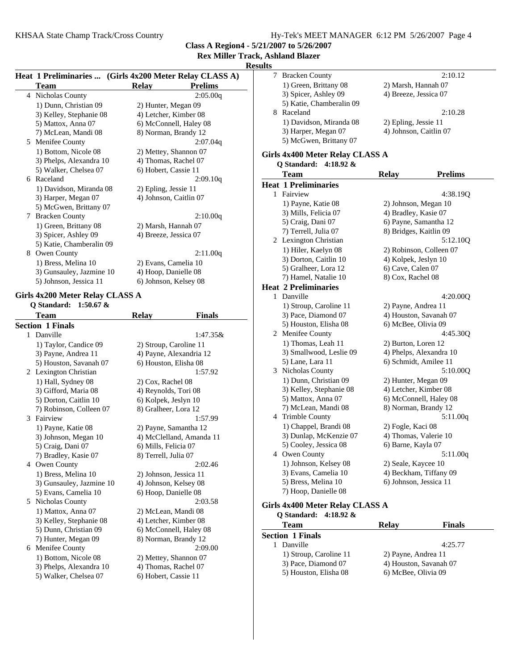**Rex Miller Track, Ashland Blazer**

| Results |
|---------|
|---------|

|   |                          | Heat 1 Preliminaries  (Girls 4x200 Meter Relay CLASS A) |                |
|---|--------------------------|---------------------------------------------------------|----------------|
|   | Team                     | Relay                                                   | <b>Prelims</b> |
|   | 4 Nicholas County        |                                                         | 2:05.00q       |
|   | 1) Dunn, Christian 09    | 2) Hunter, Megan 09                                     |                |
|   | 3) Kelley, Stephanie 08  | 4) Letcher, Kimber 08                                   |                |
|   | 5) Mattox, Anna 07       | 6) McConnell, Haley 08                                  |                |
|   | 7) McLean, Mandi 08      | 8) Norman, Brandy 12                                    |                |
| 5 | Menifee County           |                                                         | 2:07.04q       |
|   | 1) Bottom, Nicole 08     | 2) Mettey, Shannon 07                                   |                |
|   | 3) Phelps, Alexandra 10  | 4) Thomas, Rachel 07                                    |                |
|   | 5) Walker, Chelsea 07    | 6) Hobert, Cassie 11                                    |                |
| 6 | Raceland                 |                                                         | 2:09.10q       |
|   | 1) Davidson, Miranda 08  | 2) Epling, Jessie 11                                    |                |
|   | 3) Harper, Megan 07      | 4) Johnson, Caitlin 07                                  |                |
|   | 5) McGwen, Brittany 07   |                                                         |                |
| 7 | <b>Bracken County</b>    |                                                         | 2:10.00q       |
|   | 1) Green, Brittany 08    | 2) Marsh, Hannah 07                                     |                |
|   | 3) Spicer, Ashley 09     | 4) Breeze, Jessica 07                                   |                |
|   | 5) Katie, Chamberalin 09 |                                                         |                |
| 8 | Owen County              |                                                         | 2:11.00q       |
|   | 1) Bress, Melina 10      | 2) Evans, Camelia 10                                    |                |
|   | 3) Gunsauley, Jazmine 10 | 4) Hoop, Danielle 08                                    |                |
|   | 5) Johnson, Jessica 11   | 6) Johnson, Kelsey 08                                   |                |

#### **Girls 4x200 Meter Relay CLASS A**

| O Standard:<br>1:50.67 $\&$ |                          |                          |               |  |  |
|-----------------------------|--------------------------|--------------------------|---------------|--|--|
|                             | <b>Team</b>              | <b>Relay</b>             | <b>Finals</b> |  |  |
|                             | <b>Section 1 Finals</b>  |                          |               |  |  |
| 1                           | Danville                 |                          | 1:47.35&      |  |  |
|                             | 1) Taylor, Candice 09    | 2) Stroup, Caroline 11   |               |  |  |
|                             | 3) Payne, Andrea 11      | 4) Payne, Alexandria 12  |               |  |  |
|                             | 5) Houston, Savanah 07   | 6) Houston, Elisha 08    |               |  |  |
| 2                           | Lexington Christian      |                          | 1:57.92       |  |  |
|                             | 1) Hall, Sydney 08       | 2) Cox, Rachel 08        |               |  |  |
|                             | 3) Gifford, Maria 08     | 4) Reynolds, Tori 08     |               |  |  |
|                             | 5) Dorton, Caitlin 10    | 6) Kolpek, Jeslyn 10     |               |  |  |
|                             | 7) Robinson, Colleen 07  | 8) Gralheer, Lora 12     |               |  |  |
| 3                           | Fairview                 |                          | 1:57.99       |  |  |
|                             | 1) Payne, Katie 08       | 2) Payne, Samantha 12    |               |  |  |
|                             | 3) Johnson, Megan 10     | 4) McClelland, Amanda 11 |               |  |  |
|                             | 5) Craig, Dani 07        | 6) Mills, Felicia 07     |               |  |  |
|                             | 7) Bradley, Kasie 07     | 8) Terrell, Julia 07     |               |  |  |
| 4                           | Owen County              |                          | 2:02.46       |  |  |
|                             | 1) Bress, Melina 10      | 2) Johnson, Jessica 11   |               |  |  |
|                             | 3) Gunsauley, Jazmine 10 | 4) Johnson, Kelsey 08    |               |  |  |
|                             | 5) Evans, Camelia 10     | 6) Hoop, Danielle 08     |               |  |  |
| 5                           | Nicholas County          |                          | 2:03.58       |  |  |
|                             | 1) Mattox, Anna 07       | 2) McLean, Mandi 08      |               |  |  |
|                             | 3) Kelley, Stephanie 08  | 4) Letcher, Kimber 08    |               |  |  |
|                             | 5) Dunn, Christian 09    | 6) McConnell, Haley 08   |               |  |  |
|                             | 7) Hunter, Megan 09      | 8) Norman, Brandy 12     |               |  |  |
| 6                           | Menifee County           |                          | 2:09.00       |  |  |
|                             | 1) Bottom, Nicole 08     | 2) Mettey, Shannon 07    |               |  |  |
|                             | 3) Phelps, Alexandra 10  | 4) Thomas, Rachel 07     |               |  |  |
|                             | 5) Walker, Chelsea 07    | 6) Hobert, Cassie 11     |               |  |  |

| ılts |                                               |                        |                                   |  |
|------|-----------------------------------------------|------------------------|-----------------------------------|--|
| 7    | <b>Bracken County</b>                         |                        | 2:10.12                           |  |
|      | 1) Green, Brittany 08                         | 2) Marsh, Hannah 07    |                                   |  |
|      | 3) Spicer, Ashley 09                          | 4) Breeze, Jessica 07  |                                   |  |
|      | 5) Katie, Chamberalin 09                      |                        |                                   |  |
| 8    | Raceland                                      |                        | 2:10.28                           |  |
|      | 1) Davidson, Miranda 08                       | 2) Epling, Jessie 11   |                                   |  |
|      | 3) Harper, Megan 07                           | 4) Johnson, Caitlin 07 |                                   |  |
|      | 5) McGwen, Brittany 07                        |                        |                                   |  |
|      |                                               |                        |                                   |  |
|      | Girls 4x400 Meter Relay CLASS A               |                        |                                   |  |
|      | Q Standard:<br>4:18.92 $\&$                   |                        |                                   |  |
|      | <b>Team</b>                                   | <b>Relay</b>           | <b>Prelims</b>                    |  |
|      | <b>Heat 1 Preliminaries</b>                   |                        |                                   |  |
|      | 1 Fairview                                    |                        | 4:38.19Q                          |  |
|      | 1) Payne, Katie 08                            | 2) Johnson, Megan 10   |                                   |  |
|      | 3) Mills, Felicia 07                          | 4) Bradley, Kasie 07   |                                   |  |
|      | 5) Craig, Dani 07                             |                        | 6) Payne, Samantha 12             |  |
|      | 7) Terrell, Julia 07                          | 8) Bridges, Kaitlin 09 |                                   |  |
| 2    | Lexington Christian                           |                        | 5:12.10Q                          |  |
|      | 1) Hiler, Kaelyn 08                           |                        | 2) Robinson, Colleen 07           |  |
|      | 3) Dorton, Caitlin 10                         | 4) Kolpek, Jeslyn 10   |                                   |  |
|      | 5) Gralheer, Lora 12                          | 6) Cave, Calen 07      |                                   |  |
|      | 7) Hamel, Natalie 10                          | 8) Cox, Rachel 08      |                                   |  |
|      | <b>Heat 2 Preliminaries</b>                   |                        |                                   |  |
| 1    | Danville                                      |                        | 4:20.00Q                          |  |
|      | 1) Stroup, Caroline 11                        | 2) Payne, Andrea 11    |                                   |  |
|      | 3) Pace, Diamond 07                           |                        | 4) Houston, Savanah 07            |  |
|      | 5) Houston, Elisha 08                         | 6) McBee, Olivia 09    |                                   |  |
|      | 2 Menifee County                              |                        | 4:45.30Q                          |  |
|      | 1) Thomas, Leah 11                            | 2) Burton, Loren 12    |                                   |  |
|      | 3) Smallwood, Leslie 09                       |                        | 4) Phelps, Alexandra 10           |  |
|      | 5) Lane, Lara 11<br>3 Nicholas County         |                        | 6) Schmidt, Amilee 11<br>5:10.00Q |  |
|      |                                               |                        |                                   |  |
|      | 1) Dunn, Christian 09                         | 2) Hunter, Megan 09    | 4) Letcher, Kimber 08             |  |
|      | 3) Kelley, Stephanie 08<br>5) Mattox, Anna 07 |                        | 6) McConnell, Haley 08            |  |
|      | 7) McLean, Mandi 08                           |                        | 8) Norman, Brandy 12              |  |
|      | 4 Trimble County                              |                        | 5:11.00q                          |  |
|      | 1) Chappel, Brandi 08                         | 2) Fogle, Kaci 08      |                                   |  |
|      | 3) Dunlap, McKenzie 07                        |                        | 4) Thomas, Valerie 10             |  |
|      | 5) Cooley, Jessica 08                         | 6) Barne, Kayla 07     |                                   |  |
|      | 4 Owen County                                 |                        | 5:11.00q                          |  |
|      | 1) Johnson, Kelsey 08                         | 2) Seale, Kaycee 10    |                                   |  |
|      | 3) Evans, Camelia 10                          |                        | 4) Beckham, Tiffany 09            |  |
|      | 5) Bress, Melina 10                           | 6) Johnson, Jessica 11 |                                   |  |
|      | 7) Hoop, Danielle 08                          |                        |                                   |  |
|      |                                               |                        |                                   |  |
|      | Girls 4x400 Meter Relay CLASS A               |                        |                                   |  |
|      | Q Standard:<br>4:18.92 $\&$                   |                        |                                   |  |
|      | Team                                          | <b>Relay</b>           | <b>Finals</b>                     |  |
|      | <b>Section 1 Finals</b>                       |                        |                                   |  |
|      | 1 Danville                                    |                        | 4:25.77                           |  |
|      | 1) Stroup, Caroline 11                        | 2) Payne, Andrea 11    |                                   |  |
|      | 3) Pace, Diamond 07                           |                        | 4) Houston, Savanah 07            |  |

4) Houston, Savanah 07<br>6) McBee, Olivia 09

5) Houston, Elisha 08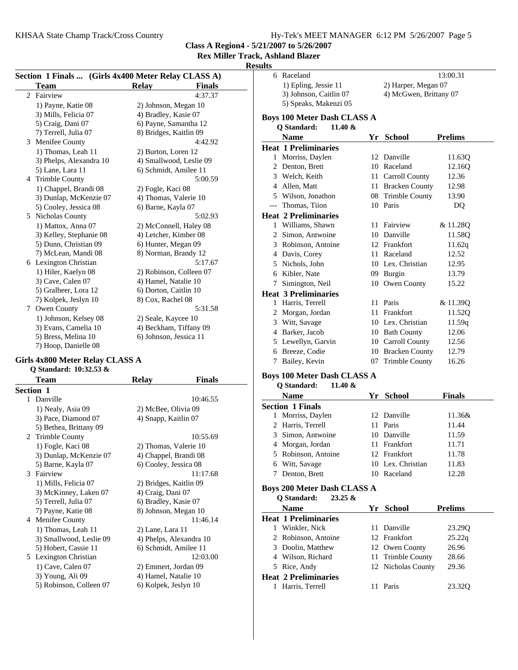KHSAA State Champ Track/Cross Country

**Class A Region4 - 5/21/2007 to 5/26/2007**

**Rex Miller Track, Ashland Blazer**

#### **Resu**

| Section 1 Finals  (Girls 4x400 Meter Relay CLASS A) |                         |                               |         |  |
|-----------------------------------------------------|-------------------------|-------------------------------|---------|--|
|                                                     | <b>Team</b>             | <b>Finals</b><br><b>Relay</b> |         |  |
| $\mathfrak{D}$                                      | Fairview                |                               | 4:37.37 |  |
|                                                     | 1) Payne, Katie 08      | 2) Johnson, Megan 10          |         |  |
|                                                     | 3) Mills, Felicia 07    | 4) Bradley, Kasie 07          |         |  |
|                                                     | 5) Craig, Dani 07       | 6) Payne, Samantha 12         |         |  |
|                                                     | 7) Terrell, Julia 07    | 8) Bridges, Kaitlin 09        |         |  |
|                                                     | 3 Menifee County        |                               | 4:42.92 |  |
|                                                     | 1) Thomas, Leah 11      | 2) Burton, Loren 12           |         |  |
|                                                     | 3) Phelps, Alexandra 10 | 4) Smallwood, Leslie 09       |         |  |
|                                                     | 5) Lane, Lara 11        | 6) Schmidt, Amilee 11         |         |  |
|                                                     | 4 Trimble County        |                               | 5:00.59 |  |
|                                                     | 1) Chappel, Brandi 08   | 2) Fogle, Kaci 08             |         |  |
|                                                     | 3) Dunlap, McKenzie 07  | 4) Thomas, Valerie 10         |         |  |
|                                                     | 5) Cooley, Jessica 08   | 6) Barne, Kayla 07            |         |  |
|                                                     | 5 Nicholas County       |                               | 5:02.93 |  |
|                                                     | 1) Mattox, Anna 07      | 2) McConnell, Haley 08        |         |  |
|                                                     | 3) Kelley, Stephanie 08 | 4) Letcher, Kimber 08         |         |  |
|                                                     | 5) Dunn, Christian 09   | 6) Hunter, Megan 09           |         |  |
|                                                     | 7) McLean, Mandi 08     | 8) Norman, Brandy 12          |         |  |
|                                                     | 6 Lexington Christian   |                               | 5:17.67 |  |
|                                                     | 1) Hiler, Kaelyn 08     | 2) Robinson, Colleen 07       |         |  |
|                                                     | 3) Cave, Calen 07       | 4) Hamel, Natalie 10          |         |  |
|                                                     | 5) Gralheer, Lora 12    | 6) Dorton, Caitlin 10         |         |  |
|                                                     | 7) Kolpek, Jeslyn 10    | 8) Cox, Rachel 08             |         |  |
| 7                                                   | Owen County             |                               | 5:31.58 |  |
|                                                     | 1) Johnson, Kelsey 08   | 2) Seale, Kaycee 10           |         |  |
|                                                     | 3) Evans, Camelia 10    | 4) Beckham, Tiffany 09        |         |  |
|                                                     | 5) Bress, Melina 10     | 6) Johnson, Jessica 11        |         |  |
|                                                     | 7) Hoop, Danielle 08    |                               |         |  |

## **Girls 4x800 Meter Relay CLASS A**

**Q Standard: 10:32.53 &**

|                  | Team                    | <b>Relay</b>            | Finals   |  |
|------------------|-------------------------|-------------------------|----------|--|
| <b>Section 1</b> |                         |                         |          |  |
|                  | 1 Danville              |                         | 10:46.55 |  |
|                  | 1) Nealy, Asia 09       | 2) McBee, Olivia 09     |          |  |
|                  | 3) Pace, Diamond 07     | 4) Snapp, Kaitlin 07    |          |  |
|                  | 5) Bethea, Brittany 09  |                         |          |  |
|                  | 2 Trimble County        |                         | 10:55.69 |  |
|                  | 1) Fogle, Kaci 08       | 2) Thomas, Valerie 10   |          |  |
|                  | 3) Dunlap, McKenzie 07  | 4) Chappel, Brandi 08   |          |  |
|                  | 5) Barne, Kayla 07      | 6) Cooley, Jessica 08   |          |  |
| 3                | Fairview                |                         | 11:17.68 |  |
|                  | 1) Mills, Felicia 07    | 2) Bridges, Kaitlin 09  |          |  |
|                  | 3) McKinney, Laken 07   | 4) Craig, Dani 07       |          |  |
|                  | 5) Terrell, Julia 07    | 6) Bradley, Kasie 07    |          |  |
|                  | 7) Payne, Katie 08      | 8) Johnson, Megan 10    |          |  |
| 4                | Menifee County          |                         | 11:46.14 |  |
|                  | 1) Thomas, Leah 11      | 2) Lane, Lara 11        |          |  |
|                  | 3) Smallwood, Leslie 09 | 4) Phelps, Alexandra 10 |          |  |
|                  | 5) Hobert, Cassie 11    | 6) Schmidt, Amilee 11   |          |  |
| 5.               | Lexington Christian     |                         | 12:03.00 |  |
|                  | 1) Cave, Calen 07       | 2) Emmert, Jordan 09    |          |  |
|                  | 3) Young, Ali 09        | 4) Hamel, Natalie 10    |          |  |
|                  | 5) Robinson, Colleen 07 | 6) Kolpek, Jeslyn 10    |          |  |
|                  |                         |                         |          |  |

| ults |                                                              |      |                        |                |
|------|--------------------------------------------------------------|------|------------------------|----------------|
| 6    | Raceland                                                     |      |                        | 13:00.31       |
|      | 1) Epling, Jessie 11                                         |      | 2) Harper, Megan 07    |                |
|      | 3) Johnson, Caitlin 07                                       |      | 4) McGwen, Brittany 07 |                |
|      | 5) Speaks, Makenzi 05                                        |      |                        |                |
|      | <b>Boys 100 Meter Dash CLASS A</b><br>Q Standard:<br>11.40 & |      |                        |                |
|      | <b>Name</b>                                                  | Yr   | School                 | <b>Prelims</b> |
|      | <b>Heat 1 Preliminaries</b>                                  |      |                        |                |
|      | 1 Morriss, Daylen                                            |      | 12 Danville            | 11.63Q         |
|      | 2 Denton, Brett                                              |      | 10 Raceland            | 12.16Q         |
|      | 3 Welch, Keith                                               | 11 - | Carroll County         | 12.36          |
|      | 4 Allen, Matt                                                |      | 11 Bracken County      | 12.98          |
|      | 5 Wilson, Jonathon                                           |      | 08 Trimble County      | 13.90          |
|      | --- Thomas, Tiion                                            |      | 10 Paris               | DQ             |
|      | <b>Heat 2 Preliminaries</b>                                  |      |                        |                |
|      | 1 Williams, Shawn                                            | 11   | Fairview               | & 11.28Q       |
|      | 2 Simon, Antwoine                                            |      | 10 Danville            | 11.58Q         |
|      | 3 Robinson, Antoine                                          |      | 12 Frankfort           | 11.62q         |
|      | 4 Davis, Corey                                               |      | 11 Raceland            | 12.52          |
|      | 5 Nichols, John                                              |      | 10 Lex. Christian      | 12.95          |
|      | 6 Kibler, Nate                                               |      | 09 Burgin              | 13.79          |
|      | 7 Simington, Neil                                            |      | 10 Owen County         | 15.22          |
|      | <b>Heat 3 Preliminaries</b>                                  |      |                        |                |
|      | 1 Harris, Terrell                                            |      | 11 Paris               | & 11.39Q       |
|      | 2 Morgan, Jordan                                             |      | 11 Frankfort           | 11.52Q         |
|      | 3 Witt, Savage                                               |      | 10 Lex. Christian      | 11.59q         |
|      | 4 Barker, Jacob                                              |      | 10 Bath County         | 12.06          |
|      | 5 Lewellyn, Garvin                                           |      | 10 Carroll County      | 12.56          |
|      | 6 Breeze, Codie                                              |      | 10 Bracken County      | 12.79          |
| 7    | Bailey, Kevin                                                | 07   | <b>Trimble County</b>  | 16.26          |
|      |                                                              |      |                        |                |
|      | <b>Boys 100 Meter Dash CLASS A</b>                           |      |                        |                |
|      | Q Standard:<br>$11.40 \&$                                    |      |                        |                |
|      | <b>Name</b>                                                  |      | Yr School              | <b>Finals</b>  |
|      | <b>Section 1 Finals</b>                                      |      |                        |                |
| 1    | Morriss, Daylen                                              |      | 12 Danville            | 11.36&         |
|      | 2 Harris, Terrell                                            | 11   | Paris                  | 11.44          |
|      | 3 Simon, Antwoine                                            |      | 10 Danville            | 11.59          |
|      | 4 Morgan, Jordan                                             | 11 - | Frankfort              | 11.71          |
|      | 5 Robinson, Antoine                                          |      | 12 Frankfort           | 11.78          |
|      | 6 Witt, Savage                                               |      | 10 Lex. Christian      | 11.83          |
| 7    | Denton, Brett                                                |      | 10 Raceland            | 12.28          |
|      | <b>Boys 200 Meter Dash CLASS A</b>                           |      |                        |                |
|      | Q Standard:<br>23.25 &                                       |      |                        |                |
|      | <b>Name</b>                                                  |      | Yr School              | <b>Prelims</b> |
|      | <b>Heat 1 Preliminaries</b>                                  |      |                        |                |
|      | 1 Winkler, Nick                                              | 11   | Danville               | 23.29Q         |
|      | 2 Robinson, Antoine                                          |      | 12 Frankfort           | 25.22q         |
|      | 3 Doolin, Matthew                                            |      | 12 Owen County         | 26.96          |
|      | 4 Wilson, Richard                                            |      | 11 Trimble County      | 28.66          |
|      | 5 Rice, Andy                                                 |      | 12 Nicholas County     | 29.36          |
|      | <b>Heat 2 Preliminaries</b>                                  |      |                        |                |
|      | 1 Harris, Terrell                                            | 11 - | Paris                  | 23.32Q         |
|      |                                                              |      |                        |                |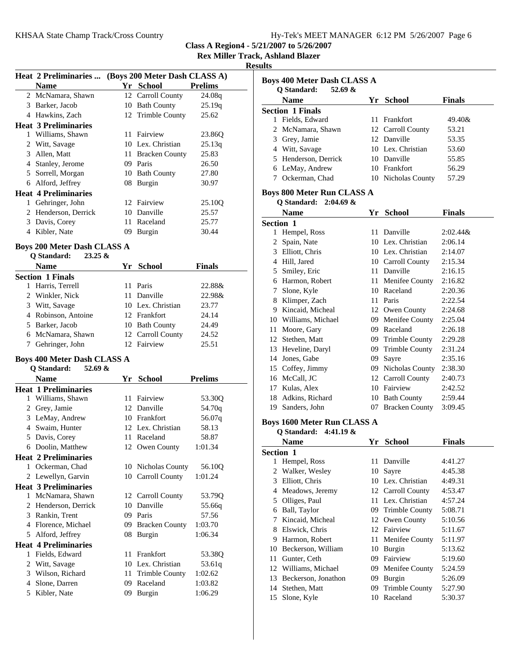| Hy-Tek's MEET MANAGER 6:12 PM 5/26/2007 Page 6 |  |  |  |
|------------------------------------------------|--|--|--|
|------------------------------------------------|--|--|--|

**Rex Miller Track, Ashland Blazer**

**Results**

|              | <b>Heat 2 Preliminaries </b>       |    |                                            |                |  |
|--------------|------------------------------------|----|--------------------------------------------|----------------|--|
|              | <b>Name</b>                        |    | (Boys 200 Meter Dash CLASS A)<br>Yr School | <b>Prelims</b> |  |
|              | 2 McNamara, Shawn                  |    | 12 Carroll County                          | 24.08q         |  |
|              |                                    |    |                                            |                |  |
|              | 3 Barker, Jacob                    |    | 10 Bath County                             | 25.19q         |  |
|              | 4 Hawkins, Zach                    |    | 12 Trimble County                          | 25.62          |  |
|              | <b>Heat 3 Preliminaries</b>        |    |                                            |                |  |
|              | 1 Williams, Shawn                  |    | 11 Fairview                                | 23.86Q         |  |
|              | 2 Witt, Savage                     |    | 10 Lex. Christian                          | 25.13q         |  |
|              | 3 Allen, Matt                      |    | 11 Bracken County                          | 25.83          |  |
|              | 4 Stanley, Jerome                  |    | 09 Paris                                   | 26.50          |  |
|              | 5 Sorrell, Morgan                  |    | 10 Bath County                             | 27.80          |  |
|              | 6 Alford, Jeffrey                  |    | 08 Burgin                                  | 30.97          |  |
|              | <b>Heat 4 Preliminaries</b>        |    |                                            |                |  |
|              | 1 Gehringer, John                  |    | 12 Fairview                                | 25.10Q         |  |
|              | 2 Henderson, Derrick               |    | 10 Danville                                | 25.57          |  |
|              | 3 Davis, Corey                     |    | 11 Raceland                                | 25.77          |  |
|              | 4 Kibler, Nate                     |    | 09 Burgin                                  | 30.44          |  |
|              | <b>Boys 200 Meter Dash CLASS A</b> |    |                                            |                |  |
|              | Q Standard:<br>$23.25 \&$          |    |                                            |                |  |
|              | Name                               |    | Yr School                                  | <b>Finals</b>  |  |
|              | <b>Section 1 Finals</b>            |    |                                            |                |  |
|              | 1 Harris, Terrell                  |    | 11 Paris                                   | 22.88&         |  |
|              | 2 Winkler, Nick                    |    | 11 Danville                                | 22.98&         |  |
|              | 3 Witt, Savage                     |    | 10 Lex. Christian                          | 23.77          |  |
|              | 4 Robinson, Antoine                |    | 12 Frankfort                               | 24.14          |  |
|              | 5 Barker, Jacob                    |    | 10 Bath County                             | 24.49          |  |
|              | 6 McNamara, Shawn                  |    | 12 Carroll County                          | 24.52          |  |
|              | 7 Gehringer, John                  |    | 12 Fairview                                | 25.51          |  |
|              |                                    |    |                                            |                |  |
|              | <b>Boys 400 Meter Dash CLASS A</b> |    |                                            |                |  |
|              | Q Standard:<br>52.69 $\&$          |    |                                            |                |  |
|              | <b>Name</b>                        |    | Yr School                                  | <b>Prelims</b> |  |
|              | <b>Heat 1 Preliminaries</b>        |    |                                            |                |  |
|              | 1 Williams, Shawn                  |    | 11 Fairview                                | 53.30Q         |  |
|              | 2 Grey, Jamie                      |    | 12 Danville                                | 54.70q         |  |
|              | 3 LeMay, Andrew                    |    | 10 Frankfort                               | 56.07q         |  |
|              | 4 Swaim, Hunter                    |    | 12 Lex. Christian                          | 58.13          |  |
|              | 5 Davis, Corey                     |    | 11 Raceland                                | 58.87          |  |
|              | 6 Doolin, Matthew                  |    | 12 Owen County                             | 1:01.34        |  |
|              | <b>Heat 2 Preliminaries</b>        |    |                                            |                |  |
|              | 1 Ockerman, Chad                   |    | 10 Nicholas County                         | 56.10Q         |  |
|              | 2 Lewellyn, Garvin                 |    | 10 Carroll County                          | 1:01.24        |  |
|              | <b>Heat 3 Preliminaries</b>        |    |                                            |                |  |
| $\mathbf{1}$ | McNamara, Shawn                    |    | 12 Carroll County                          | 53.79Q         |  |
|              | 2 Henderson, Derrick               |    | 10 Danville                                | 55.66q         |  |
| 3            | Rankin, Trent                      |    | 09 Paris                                   | 57.56          |  |
|              | 4 Florence, Michael                |    | 09 Bracken County                          | 1:03.70        |  |
| 5            | Alford, Jeffrey                    | 08 | Burgin                                     | 1:06.34        |  |
|              | <b>Heat 4 Preliminaries</b>        |    |                                            |                |  |
| 1            | Fields, Edward                     | 11 | Frankfort                                  | 53.38Q         |  |
| 2            | Witt, Savage                       |    | 10 Lex. Christian                          | 53.61q         |  |
| 3            | Wilson, Richard                    | 11 | <b>Trimble County</b>                      | 1:02.62        |  |
| 4            | Slone, Darren                      | 09 | Raceland                                   | 1:03.82        |  |
| 5            | Kibler, Nate                       | 09 | Burgin                                     | 1:06.29        |  |
|              |                                    |    |                                            |                |  |

| <b>Boys 400 Meter Dash CLASS A</b> |                                    |    |                    |               |  |
|------------------------------------|------------------------------------|----|--------------------|---------------|--|
|                                    | Q Standard:<br>52.69 $\&$          |    |                    |               |  |
|                                    | <b>Name</b>                        |    | Yr School          | <b>Finals</b> |  |
|                                    | <b>Section 1 Finals</b>            |    |                    |               |  |
|                                    | 1 Fields, Edward                   |    | 11 Frankfort       | 49.40&        |  |
|                                    | 2 McNamara, Shawn                  |    | 12 Carroll County  | 53.21         |  |
|                                    | 3 Grey, Jamie                      |    | 12 Danville        | 53.35         |  |
|                                    | 4 Witt, Savage                     |    | 10 Lex. Christian  | 53.60         |  |
|                                    | 5 Henderson, Derrick               |    | 10 Danville        | 55.85         |  |
|                                    | 6 LeMay, Andrew                    |    | 10 Frankfort       | 56.29         |  |
|                                    | 7 Ockerman, Chad                   |    | 10 Nicholas County | 57.29         |  |
|                                    |                                    |    |                    |               |  |
|                                    | <b>Boys 800 Meter Run CLASS A</b>  |    |                    |               |  |
|                                    | Q Standard: 2:04.69 &              |    |                    |               |  |
|                                    | <b>Name</b>                        |    | Yr School          | <b>Finals</b> |  |
|                                    | Section 1                          |    |                    |               |  |
|                                    | 1 Hempel, Ross                     |    | 11 Danville        | $2:02.44\&$   |  |
|                                    | 2 Spain, Nate                      |    | 10 Lex. Christian  | 2:06.14       |  |
|                                    | 3 Elliott, Chris                   |    | 10 Lex. Christian  | 2:14.07       |  |
|                                    | 4 Hill, Jared                      |    | 10 Carroll County  | 2:15.34       |  |
|                                    | 5 Smiley, Eric                     |    | 11 Danville        | 2:16.15       |  |
|                                    | 6 Harmon, Robert                   |    | 11 Menifee County  | 2:16.82       |  |
|                                    | 7 Slone, Kyle                      |    | 10 Raceland        | 2:20.36       |  |
|                                    | 8 Klimper, Zach                    |    | 11 Paris           | 2:22.54       |  |
|                                    | 9 Kincaid, Micheal                 |    | 12 Owen County     | 2:24.68       |  |
|                                    | 10 Williams, Michael               |    | 09 Menifee County  | 2:25.04       |  |
|                                    | 11 Moore, Gary                     |    | 09 Raceland        | 2:26.18       |  |
|                                    | 12 Stethen, Matt                   |    | 09 Trimble County  | 2:29.28       |  |
|                                    | 13 Heveline, Daryl                 |    | 09 Trimble County  | 2:31.24       |  |
|                                    | 14 Jones, Gabe                     |    | 09 Sayre           | 2:35.16       |  |
|                                    | 15 Coffey, Jimmy                   |    | 09 Nicholas County | 2:38.30       |  |
|                                    | 16 McCall, JC                      |    | 12 Carroll County  | 2:40.73       |  |
|                                    | 17 Kulas, Alex                     |    | 10 Fairview        | 2:42.52       |  |
|                                    | 18 Adkins, Richard                 |    | 10 Bath County     | 2:59.44       |  |
|                                    | 19 Sanders, John                   |    | 07 Bracken County  | 3:09.45       |  |
|                                    |                                    |    |                    |               |  |
|                                    | <b>Boys 1600 Meter Run CLASS A</b> |    |                    |               |  |
|                                    | <b>O</b> Standard:<br>4:41.19 $\&$ |    |                    |               |  |
|                                    | <b>Name</b>                        | Yr | <b>School</b>      | Finals        |  |
| Section 1                          |                                    |    |                    |               |  |
| 1                                  | Hempel, Ross                       |    | 11 Danville        | 4:41.27       |  |
| $\overline{2}$                     | Walker, Wesley                     |    | 10 Sayre           | 4:45.38       |  |
|                                    | 3 Elliott, Chris                   |    | 10 Lex. Christian  | 4:49.31       |  |
|                                    | 4 Meadows, Jeremy                  |    | 12 Carroll County  | 4:53.47       |  |
| 5                                  | Olliges, Paul                      |    | 11 Lex. Christian  | 4:57.24       |  |
|                                    | 6 Ball, Taylor                     |    | 09 Trimble County  | 5:08.71       |  |
| 7                                  | Kincaid, Micheal                   |    | 12 Owen County     | 5:10.56       |  |
| 8                                  | Elswick, Chris                     |    | 12 Fairview        | 5:11.67       |  |
| 9                                  | Harmon, Robert                     | 11 | Menifee County     | 5:11.97       |  |
|                                    | 10 Beckerson, William              |    | 10 Burgin          | 5:13.62       |  |
| 11                                 | Gunter, Ceth                       |    | 09 Fairview        | 5:19.60       |  |
|                                    | 12 Williams, Michael               |    | 09 Menifee County  | 5:24.59       |  |
| 13                                 | Beckerson, Jonathon                |    | 09 Burgin          | 5:26.09       |  |
| 14                                 | Stethen, Matt                      |    | 09 Trimble County  | 5:27.90       |  |
| 15                                 | Slone, Kyle                        |    | 10 Raceland        | 5:30.37       |  |
|                                    |                                    |    |                    |               |  |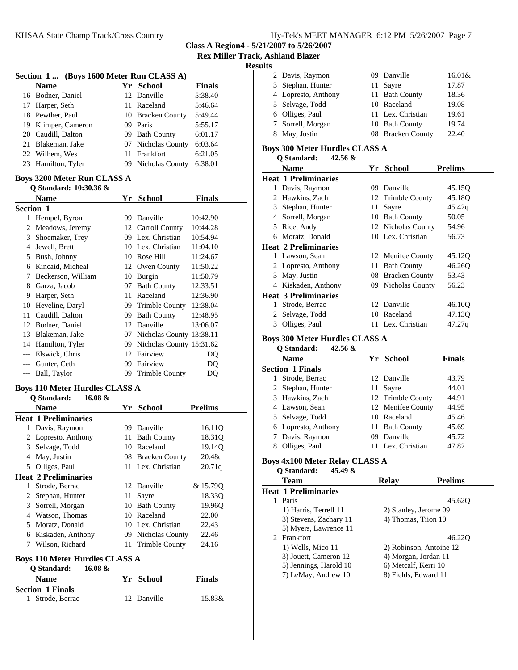**Rex Miller Track, Ashland Blazer**

#### **Results**

|           | Section 1 (Boys 1600 Meter Run CLASS A)                         |    |                               |                  |  |
|-----------|-----------------------------------------------------------------|----|-------------------------------|------------------|--|
|           | <b>Name</b>                                                     |    | Yr School                     | <b>Finals</b>    |  |
|           | 16 Bodner, Daniel                                               |    | 12 Danville                   | 5:38.40          |  |
|           | 17 Harper, Seth                                                 |    | 11 Raceland                   | 5:46.64          |  |
|           | 18 Pewther, Paul                                                |    | 10 Bracken County             | 5:49.44          |  |
|           | 19 Klimper, Cameron                                             |    | 09 Paris                      | 5:55.17          |  |
|           | 20 Caudill, Dalton                                              |    | 09 Bath County                | 6:01.17          |  |
|           | 21 Blakeman, Jake                                               |    | 07 Nicholas County            | 6:03.64          |  |
|           | 22 Wilhem, Wes                                                  | 11 | Frankfort                     | 6:21.05          |  |
|           | 23 Hamilton, Tyler                                              |    | 09 Nicholas County            | 6:38.01          |  |
|           | <b>Boys 3200 Meter Run CLASS A</b>                              |    |                               |                  |  |
|           | Q Standard: 10:30.36 &                                          |    |                               |                  |  |
|           | <b>Name</b>                                                     | Yr | <b>School</b>                 | <b>Finals</b>    |  |
| Section 1 |                                                                 |    |                               |                  |  |
|           | 1 Hempel, Byron                                                 |    | 09 Danville                   | 10:42.90         |  |
|           | 2 Meadows, Jeremy                                               |    | 12 Carroll County             | 10:44.28         |  |
|           | 3 Shoemaker, Trey                                               |    | 09 Lex. Christian             | 10:54.94         |  |
|           | 4 Jewell, Brett                                                 |    | 10 Lex. Christian             | 11:04.10         |  |
|           | 5 Bush, Johnny                                                  |    | 10 Rose Hill                  | 11:24.67         |  |
|           | 6 Kincaid, Micheal                                              |    | 12 Owen County                | 11:50.22         |  |
|           | 7 Beckerson, William                                            |    | 10 Burgin                     | 11:50.79         |  |
|           | 8 Garza, Jacob                                                  |    | 07 Bath County                | 12:33.51         |  |
|           | 9 Harper, Seth                                                  |    | 11 Raceland                   | 12:36.90         |  |
|           | 10 Heveline, Daryl                                              |    | 09 Trimble County             | 12:38.04         |  |
|           | 11 Caudill, Dalton                                              |    | 09 Bath County                | 12:48.95         |  |
|           |                                                                 |    | 12 Danville                   |                  |  |
|           | 12 Bodner, Daniel                                               |    |                               | 13:06.07         |  |
|           | 13 Blakeman, Jake                                               |    | 07 Nicholas County 13:38.11   |                  |  |
|           | 14 Hamilton, Tyler                                              |    | 09 Nicholas County 15:31.62   |                  |  |
|           | --- Elswick, Chris                                              |    | 12 Fairview                   | DQ               |  |
|           | --- Gunter, Ceth                                                |    | 09 Fairview                   | DQ               |  |
| $---$     | Ball, Taylor                                                    |    | 09 Trimble County             | DQ               |  |
|           | <b>Boys 110 Meter Hurdles CLASS A</b><br>Q Standard:<br>16.08 & |    |                               |                  |  |
|           | Name                                                            |    | Yr School                     |                  |  |
|           | <b>Heat 1 Preliminaries</b>                                     |    |                               | <b>Prelims</b>   |  |
|           |                                                                 |    | 09 Danville                   |                  |  |
|           | 1 Davis, Raymon<br>2 Lopresto, Anthony                          |    |                               | 16.11Q<br>18.310 |  |
|           | 3 Selvage, Todd                                                 |    | 11 Bath County<br>10 Raceland |                  |  |
|           |                                                                 |    |                               | 19.14Q           |  |
|           | 4 May, Justin                                                   |    | 08 Bracken County             | 20.48q           |  |
|           | 5 Olliges, Paul                                                 |    | 11 Lex. Christian             | 20.71q           |  |
|           | <b>Heat 2 Preliminaries</b>                                     |    |                               |                  |  |
| 1         | Strode, Berrac                                                  |    | 12 Danville                   | & 15.79Q         |  |
| 2         | Stephan, Hunter                                                 | 11 | Sayre                         | 18.33Q           |  |
| 3         | Sorrell, Morgan                                                 |    | 10 Bath County                | 19.96Q           |  |
|           | 4 Watson, Thomas                                                |    | 10 Raceland                   | 22.00            |  |
| 5         | Moratz, Donald                                                  |    | 10 Lex. Christian             | 22.43            |  |
|           | 6 Kiskaden, Anthony                                             |    | 09 Nicholas County            | 22.46            |  |
|           | 7 Wilson, Richard                                               |    | 11 Trimble County             | 24.16            |  |
|           | <b>Boys 110 Meter Hurdles CLASS A</b>                           |    |                               |                  |  |
|           | Q Standard:<br>16.08 &                                          |    |                               |                  |  |
|           | <b>Name</b>                                                     |    | Yr School                     | Finals           |  |
|           | <b>Section 1 Finals</b>                                         |    |                               |                  |  |
| 1         | Strode, Berrac                                                  | 12 | Danville                      | 15.83&           |  |

| llts         |                                               |    |                         |                |
|--------------|-----------------------------------------------|----|-------------------------|----------------|
|              | 2 Davis, Raymon                               |    | 09 Danville             | 16.01&         |
| 3            | Stephan, Hunter                               | 11 | Sayre                   | 17.87          |
|              | 4 Lopresto, Anthony                           |    | 11 Bath County          | 18.36          |
| 5            | Selvage, Todd                                 |    | 10 Raceland             | 19.08          |
|              | 6 Olliges, Paul                               |    | 11 Lex. Christian       | 19.61          |
| 7            | Sorrell, Morgan                               |    | 10 Bath County          | 19.74          |
|              | 8 May, Justin                                 |    | 08 Bracken County       | 22.40          |
|              |                                               |    |                         |                |
|              | <b>Boys 300 Meter Hurdles CLASS A</b>         |    |                         |                |
|              | Q Standard:<br>42.56 &                        |    |                         |                |
|              | <b>Name</b>                                   |    | Yr School               | <b>Prelims</b> |
|              | <b>Heat 1 Preliminaries</b>                   |    |                         |                |
| 1            | Davis, Raymon                                 |    | 09 Danville             | 45.15Q         |
| 2            | Hawkins, Zach                                 |    | 12 Trimble County       | 45.18Q         |
|              | 3 Stephan, Hunter                             | 11 | Sayre                   | 45.42q         |
|              | 4 Sorrell, Morgan                             |    | 10 Bath County          | 50.05          |
|              | 5 Rice, Andy                                  |    | 12 Nicholas County      | 54.96          |
|              | 6 Moratz, Donald                              |    | 10 Lex. Christian       | 56.73          |
|              | <b>Heat 2 Preliminaries</b>                   |    |                         |                |
|              | 1 Lawson, Sean                                |    | 12 Menifee County       | 45.12Q         |
|              | 2 Lopresto, Anthony                           |    | 11 Bath County          | 46.26Q         |
| 3            | May, Justin                                   |    | 08 Bracken County       | 53.43          |
|              | 4 Kiskaden, Anthony                           |    | 09 Nicholas County      | 56.23          |
|              | <b>Heat 3 Preliminaries</b>                   |    |                         |                |
| 1            | Strode, Berrac                                | 12 | Danville                | 46.10Q         |
| 2            | Selvage, Todd                                 | 10 | Raceland                | 47.13Q         |
|              | 3 Olliges, Paul                               |    | 11 Lex. Christian       | 47.27q         |
|              | <b>Boys 300 Meter Hurdles CLASS A</b>         |    |                         |                |
|              | Q Standard:<br>42.56 &                        |    |                         |                |
|              | <b>Name</b>                                   |    | Yr School               | <b>Finals</b>  |
|              | <b>Section 1 Finals</b>                       |    |                         |                |
| $\mathbf{1}$ | Strode, Berrac                                | 12 | Danville                | 43.79          |
|              | 2 Stephan, Hunter                             |    | 11 Sayre                | 44.01          |
| 3            | Hawkins, Zach                                 |    | 12 Trimble County       | 44.91          |
|              | 4 Lawson, Sean                                |    | 12 Menifee County       | 44.95          |
|              | 5 Selvage, Todd                               |    | 10 Raceland             | 45.46          |
| 6            | Lopresto, Anthony                             | 11 | <b>Bath County</b>      | 45.69          |
| 7            | Davis, Raymon                                 |    | 09 Danville             | 45.72          |
|              | 8 Olliges, Paul                               | 11 | Lex. Christian          | 47.82          |
|              |                                               |    |                         |                |
|              | Boys 4x100 Meter Relay CLASS A<br>45.49 &     |    |                         |                |
|              | Q Standard:                                   |    |                         |                |
|              | <b>Team</b>                                   |    | <b>Relay</b>            | <b>Prelims</b> |
|              | <b>Heat 1 Preliminaries</b>                   |    |                         |                |
|              | 1 Paris                                       |    |                         | 45.62Q         |
|              | 1) Harris, Terrell 11                         |    | 2) Stanley, Jerome 09   |                |
|              | 3) Stevens, Zachary 11                        |    | 4) Thomas, Tiion 10     |                |
|              | 5) Myers, Lawrence 11                         |    |                         |                |
|              | 2 Frankfort                                   |    |                         | 46.22Q         |
|              | 1) Wells, Mico 11                             |    | 2) Robinson, Antoine 12 |                |
|              | 3) Jouett, Cameron 12                         |    | 4) Morgan, Jordan 11    |                |
|              | 5) Jennings, Harold 10<br>7) LeMay, Andrew 10 |    | 6) Metcalf, Kerri 10    |                |
|              |                                               |    | 8) Fields, Edward 11    |                |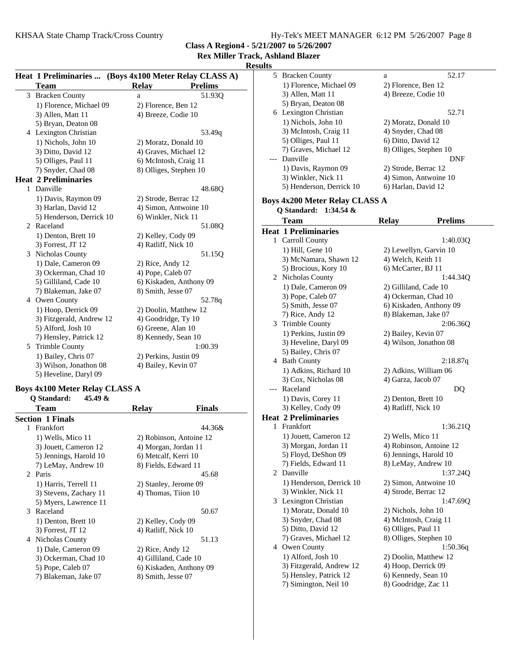**Class A Region4 - 5/21/2007 to 5/26/2007**

## **Rex Miller Track, A**

**Results**

|   |                             | Heat 1 Preliminaries  (Boys 4x100 Meter Relay CLASS A) |                |
|---|-----------------------------|--------------------------------------------------------|----------------|
|   | <b>Team</b>                 | <b>Relay</b>                                           | <b>Prelims</b> |
| 3 | <b>Bracken County</b>       | a                                                      | 51.930         |
|   | 1) Florence, Michael 09     | 2) Florence, Ben 12                                    |                |
|   | 3) Allen, Matt 11           | 4) Breeze, Codie 10                                    |                |
|   | 5) Bryan, Deaton 08         |                                                        |                |
|   | 4 Lexington Christian       |                                                        | 53.49q         |
|   | 1) Nichols, John 10         | 2) Moratz, Donald 10                                   |                |
|   | 3) Ditto, David 12          | 4) Graves, Michael 12                                  |                |
|   | 5) Olliges, Paul 11         | 6) McIntosh, Craig 11                                  |                |
|   | 7) Snyder, Chad 08          | 8) Olliges, Stephen 10                                 |                |
|   | <b>Heat 2 Preliminaries</b> |                                                        |                |
| 1 | Danville                    |                                                        | 48.68Q         |
|   | 1) Davis, Raymon 09         | 2) Strode, Berrac 12                                   |                |
|   | 3) Harlan, David 12         | 4) Simon, Antwoine 10                                  |                |
|   | 5) Henderson, Derrick 10    | 6) Winkler, Nick 11                                    |                |
| 2 | Raceland                    |                                                        | 51.08Q         |
|   | 1) Denton, Brett 10         | 2) Kelley, Cody 09                                     |                |
|   | 3) Forrest, JT 12           | 4) Ratliff, Nick 10                                    |                |
| 3 | Nicholas County             |                                                        | 51.15Q         |
|   | 1) Dale, Cameron 09         | 2) Rice, Andy 12                                       |                |
|   | 3) Ockerman, Chad 10        | 4) Pope, Caleb 07                                      |                |
|   | 5) Gilliland, Cade 10       | 6) Kiskaden, Anthony 09                                |                |
|   | 7) Blakeman, Jake 07        | 8) Smith, Jesse 07                                     |                |
| 4 | Owen County                 |                                                        | 52.78q         |
|   | 1) Hoop, Derrick 09         | 2) Doolin, Matthew 12                                  |                |
|   | 3) Fitzgerald, Andrew 12    | 4) Goodridge, Ty 10                                    |                |
|   | 5) Alford, Josh 10          | 6) Greene, Alan 10                                     |                |
|   | 7) Hensley, Patrick 12      | 8) Kennedy, Sean 10                                    |                |
| 5 | <b>Trimble County</b>       |                                                        | 1:00.39        |
|   | 1) Bailey, Chris 07         | 2) Perkins, Justin 09                                  |                |
|   | 3) Wilson, Jonathon 08      | 4) Bailey, Kevin 07                                    |                |
|   | 5) Heveline, Daryl 09       |                                                        |                |

### **Boys 4x100 Meter Relay CLASS A Q Standard: 45.49 &**

| Team                    | Relav                 | Finals                  |
|-------------------------|-----------------------|-------------------------|
| <b>Section 1 Finals</b> |                       |                         |
| Frankfort<br>1          |                       | 44.36&                  |
| 1) Wells, Mico 11       |                       | 2) Robinson, Antoine 12 |
| 3) Jouett, Cameron 12   | 4) Morgan, Jordan 11  |                         |
| 5) Jennings, Harold 10  | 6) Metcalf, Kerri 10  |                         |
| 7) LeMay, Andrew 10     | 8) Fields, Edward 11  |                         |
| 2 Paris                 |                       | 45.68                   |
| 1) Harris, Terrell 11   | 2) Stanley, Jerome 09 |                         |
| 3) Stevens, Zachary 11  | 4) Thomas, Tiion 10   |                         |
| 5) Myers, Lawrence 11   |                       |                         |
| Raceland<br>3           |                       | 50.67                   |
| 1) Denton, Brett 10     | 2) Kelley, Cody 09    |                         |
| $3)$ Forrest, JT 12     | 4) Ratliff, Nick 10   |                         |
| Nicholas County<br>4    |                       | 51.13                   |
| 1) Dale, Cameron 09     | 2) Rice, Andy 12      |                         |
| 3) Ockerman, Chad 10    | 4) Gilliland, Cade 10 |                         |
| 5) Pope, Caleb 07       |                       | 6) Kiskaden, Anthony 09 |
| 7) Blakeman, Jake 07    | 8) Smith, Jesse 07    |                         |
|                         |                       |                         |

|       | ., Ashland Blazer                           |                                                   |
|-------|---------------------------------------------|---------------------------------------------------|
| ults  |                                             |                                                   |
|       | 5 Bracken County                            | 52.17<br>a                                        |
|       | 1) Florence, Michael 09                     | 2) Florence, Ben 12                               |
|       | 3) Allen, Matt 11                           | 4) Breeze, Codie 10                               |
|       | 5) Bryan, Deaton 08                         |                                                   |
|       | 6 Lexington Christian                       | 52.71                                             |
|       |                                             |                                                   |
|       | 1) Nichols, John 10                         | 2) Moratz, Donald 10                              |
|       | 3) McIntosh, Craig 11                       | 4) Snyder, Chad 08                                |
|       | 5) Olliges, Paul 11                         | 6) Ditto, David 12                                |
|       | 7) Graves, Michael 12                       | 8) Olliges, Stephen 10                            |
|       | --- Danville                                | DNF                                               |
|       | 1) Davis, Raymon 09                         | 2) Strode, Berrac 12                              |
|       | 3) Winkler, Nick 11                         | 4) Simon, Antwoine 10                             |
|       | 5) Henderson, Derrick 10                    | 6) Harlan, David 12                               |
|       | <b>Boys 4x200 Meter Relay CLASS A</b>       |                                                   |
|       | Q Standard:<br>$1:34.54 \&$                 |                                                   |
|       | <b>Team</b>                                 | <b>Prelims</b><br><b>Relay</b>                    |
|       | <b>Heat 1 Preliminaries</b>                 |                                                   |
|       |                                             |                                                   |
|       | 1 Carroll County                            | 1:40.03Q                                          |
|       | $1)$ Hill, Gene $10$                        | 2) Lewellyn, Garvin 10                            |
|       | 3) McNamara, Shawn 12                       | 4) Welch, Keith 11                                |
|       | 5) Brocious, Kory 10                        | 6) McCarter, BJ 11                                |
|       | 2 Nicholas County                           | 1:44.340                                          |
|       | 1) Dale, Cameron 09                         | 2) Gilliland, Cade 10                             |
|       | 3) Pope, Caleb 07                           | 4) Ockerman, Chad 10                              |
|       | 5) Smith, Jesse 07                          | 6) Kiskaden, Anthony 09                           |
|       | 7) Rice, Andy 12                            | 8) Blakeman, Jake 07                              |
|       | 3 Trimble County                            | 2:06.36Q                                          |
|       | 1) Perkins, Justin 09                       | 2) Bailey, Kevin 07                               |
|       | 3) Heveline, Daryl 09                       | 4) Wilson, Jonathon 08                            |
|       | 5) Bailey, Chris 07                         |                                                   |
|       | 4 Bath County                               | 2:18.87q                                          |
|       | 1) Adkins, Richard 10                       | 2) Adkins, William 06                             |
|       | 3) Cox, Nicholas 08                         | 4) Garza, Jacob 07                                |
| $---$ | Raceland                                    | DO                                                |
|       | 1) Davis, Corey 11                          | 2) Denton, Brett 10                               |
|       | 3) Kelley, Cody 09                          | 4) Ratliff, Nick 10                               |
|       | <b>Heat 2 Preliminaries</b>                 |                                                   |
| 1     | Frankfort                                   | 1:36.21Q                                          |
|       | 1) Jouett, Cameron 12                       | 2) Wells, Mico 11                                 |
|       |                                             |                                                   |
|       | 3) Morgan, Jordan 11<br>5) Floyd, DeShon 09 | 4) Robinson, Antoine 12<br>6) Jennings, Harold 10 |
|       |                                             |                                                   |
|       | 7) Fields, Edward 11                        | 8) LeMay, Andrew 10                               |
|       | 2 Danville                                  | 1:37.24Q                                          |
|       | 1) Henderson, Derrick 10                    | 2) Simon, Antwoine 10                             |
|       | 3) Winkler, Nick 11                         | 4) Strode, Berrac 12                              |
|       | 3 Lexington Christian                       | 1:47.69Q                                          |
|       | 1) Moratz, Donald 10                        | 2) Nichols, John 10                               |
|       | 3) Snyder, Chad 08                          | 4) McIntosh, Craig 11                             |
|       | 5) Ditto, David 12                          | 6) Olliges, Paul 11                               |
|       | 7) Graves, Michael 12                       | 8) Olliges, Stephen 10                            |
|       | 4 Owen County                               | 1:50.36q                                          |
|       | 1) Alford, Josh 10                          | 2) Doolin, Matthew 12                             |
|       | 3) Fitzgerald, Andrew 12                    | 4) Hoop, Derrick 09                               |
|       | 5) Hensley, Patrick 12                      | 6) Kennedy, Sean 10                               |
|       |                                             |                                                   |
|       | 7) Simington, Neil 10                       | 8) Goodridge, Zac 11                              |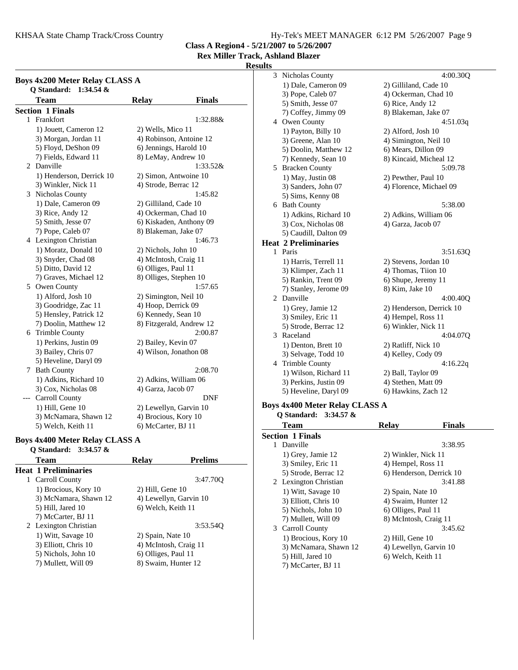KHSAA State Champ Track/Cross Country Hy-Tek's MEET MANAGER 6:12 PM 5/26/2007 Page 9

**Class A Region4 - 5/21/2007 to 5/26/2007**

**Rex Miller Track, Ashland Blazer**

#### **Results**

| <b>Boys 4x200 Meter Relay CLASS A</b><br>Q Standard: 1:34.54 & |                          |                          |               |  |
|----------------------------------------------------------------|--------------------------|--------------------------|---------------|--|
|                                                                | <b>Team</b>              | <b>Relay</b>             | <b>Finals</b> |  |
|                                                                | <b>Section 1 Finals</b>  |                          |               |  |
| 1                                                              | Frankfort                |                          | 1:32.88&      |  |
|                                                                | 1) Jouett, Cameron 12    | 2) Wells, Mico 11        |               |  |
|                                                                | 3) Morgan, Jordan 11     | 4) Robinson, Antoine 12  |               |  |
|                                                                | 5) Floyd, DeShon 09      | 6) Jennings, Harold 10   |               |  |
|                                                                | 7) Fields, Edward 11     | 8) LeMay, Andrew 10      |               |  |
| 2                                                              | Danville                 |                          | 1:33.52&      |  |
|                                                                | 1) Henderson, Derrick 10 | 2) Simon, Antwoine 10    |               |  |
|                                                                | 3) Winkler, Nick 11      | 4) Strode, Berrac 12     |               |  |
| 3                                                              | Nicholas County          |                          | 1:45.82       |  |
|                                                                | 1) Dale, Cameron 09      | 2) Gilliland, Cade 10    |               |  |
|                                                                | 3) Rice, Andy 12         | 4) Ockerman, Chad 10     |               |  |
|                                                                | 5) Smith, Jesse 07       | 6) Kiskaden, Anthony 09  |               |  |
|                                                                | 7) Pope, Caleb 07        | 8) Blakeman, Jake 07     |               |  |
|                                                                | 4 Lexington Christian    |                          | 1:46.73       |  |
|                                                                | 1) Moratz, Donald 10     | 2) Nichols, John 10      |               |  |
|                                                                | 3) Snyder, Chad 08       | 4) McIntosh, Craig 11    |               |  |
|                                                                | 5) Ditto, David 12       | 6) Olliges, Paul 11      |               |  |
|                                                                | 7) Graves, Michael 12    | 8) Olliges, Stephen 10   |               |  |
| 5                                                              | Owen County              |                          | 1:57.65       |  |
|                                                                | 1) Alford, Josh 10       | 2) Simington, Neil 10    |               |  |
|                                                                | 3) Goodridge, Zac 11     | 4) Hoop, Derrick 09      |               |  |
|                                                                | 5) Hensley, Patrick 12   | 6) Kennedy, Sean 10      |               |  |
|                                                                | 7) Doolin, Matthew 12    | 8) Fitzgerald, Andrew 12 |               |  |
|                                                                | 6 Trimble County         |                          | 2:00.87       |  |
|                                                                | 1) Perkins, Justin 09    | 2) Bailey, Kevin 07      |               |  |
|                                                                | 3) Bailey, Chris 07      | 4) Wilson, Jonathon 08   |               |  |
|                                                                | 5) Heveline, Daryl 09    |                          |               |  |
| 7                                                              | <b>Bath County</b>       |                          | 2:08.70       |  |
|                                                                | 1) Adkins, Richard 10    | 2) Adkins, William 06    |               |  |
|                                                                | 3) Cox, Nicholas 08      | 4) Garza, Jacob 07       |               |  |
| ---                                                            | Carroll County           |                          | <b>DNF</b>    |  |
|                                                                | 1) Hill, Gene 10         | 2) Lewellyn, Garvin 10   |               |  |
|                                                                | 3) McNamara, Shawn 12    | 4) Brocious, Kory 10     |               |  |
|                                                                | 5) Welch, Keith 11       | 6) McCarter, BJ 11       |               |  |

#### **Boys 4x400 Meter Relay CLASS A**

| Q Standard: $3:34.57 \&$    |                       |                        |
|-----------------------------|-----------------------|------------------------|
| <b>Team</b>                 | <b>Relay</b>          | <b>Prelims</b>         |
| <b>Heat 1 Preliminaries</b> |                       |                        |
| 1 Carroll County            |                       | 3:47.700               |
| 1) Brocious, Kory 10        | $2)$ Hill, Gene 10    |                        |
| 3) McNamara, Shawn 12       |                       | 4) Lewellyn, Garvin 10 |
| 5) Hill, Jared 10           | 6) Welch, Keith 11    |                        |
| 7) McCarter, BJ 11          |                       |                        |
| 2 Lexington Christian       |                       | 3:53.540               |
| 1) Witt, Savage 10          | 2) Spain, Nate 10     |                        |
| 3) Elliott, Chris 10        | 4) McIntosh, Craig 11 |                        |
| 5) Nichols, John 10         | 6) Olliges, Paul 11   |                        |
| 7) Mullett, Will 09         | 8) Swaim, Hunter 12   |                        |
|                             |                       |                        |

| 3  | Nicholas County             | 4:00.30Q                 |
|----|-----------------------------|--------------------------|
|    | 1) Dale, Cameron 09         | 2) Gilliland, Cade 10    |
|    | 3) Pope, Caleb 07           | 4) Ockerman, Chad 10     |
|    | 5) Smith, Jesse 07          | 6) Rice, Andy 12         |
|    | 7) Coffey, Jimmy 09         | 8) Blakeman, Jake 07     |
| 4  | Owen County                 | 4:51.03q                 |
|    | 1) Payton, Billy 10         | 2) Alford, Josh 10       |
|    | 3) Greene, Alan 10          | 4) Simington, Neil 10    |
|    | 5) Doolin, Matthew 12       | 6) Mears, Dillon 09      |
|    | 7) Kennedy, Sean 10         | 8) Kincaid, Micheal 12   |
|    | 5 Bracken County            | 5:09.78                  |
|    | 1) May, Justin 08           | 2) Pewther, Paul 10      |
|    | 3) Sanders, John 07         | 4) Florence, Michael 09  |
|    | 5) Sims, Kenny 08           |                          |
|    | 6 Bath County               | 5:38.00                  |
|    | 1) Adkins, Richard 10       | 2) Adkins, William 06    |
|    | 3) Cox, Nicholas 08         | 4) Garza, Jacob 07       |
|    | 5) Caudill, Dalton 09       |                          |
|    |                             |                          |
|    | <b>Heat 2 Preliminaries</b> |                          |
| 1. | Paris                       | 3:51.630                 |
|    | 1) Harris, Terrell 11       | 2) Stevens, Jordan 10    |
|    | 3) Klimper, Zach 11         | 4) Thomas, Tiion 10      |
|    | 5) Rankin, Trent 09         | 6) Shupe, Jeremy 11      |
|    | 7) Stanley, Jerome 09       | 8) Kim, Jake 10          |
| 2  | Danville                    | 4:00.400                 |
|    | 1) Grey, Jamie 12           | 2) Henderson, Derrick 10 |
|    | 3) Smiley, Eric 11          | 4) Hempel, Ross 11       |
|    | 5) Strode, Berrac 12        | 6) Winkler, Nick 11      |
| 3  | Raceland                    | 4:04.07Q                 |
|    | 1) Denton, Brett 10         | 2) Ratliff, Nick 10      |
|    | 3) Selvage, Todd 10         | 4) Kelley, Cody 09       |
| 4  | <b>Trimble County</b>       | 4:16.22q                 |
|    | 1) Wilson, Richard 11       | 2) Ball, Taylor 09       |
|    | 3) Perkins, Justin 09       | 4) Stethen, Matt 09      |

**Boys 4x400 Meter Relay CLASS A Q Standard: 3:34.57 &**

|   | $\sigma$ blandard. $\sigma$ . $\sigma$ . $\sigma$ |                        |                          |  |
|---|---------------------------------------------------|------------------------|--------------------------|--|
|   | <b>Team</b>                                       | <b>Relay</b>           | <b>Finals</b>            |  |
|   | <b>Section 1 Finals</b>                           |                        |                          |  |
| 1 | Danville                                          |                        | 3:38.95                  |  |
|   | 1) Grey, Jamie 12                                 | 2) Winkler, Nick 11    |                          |  |
|   | 3) Smiley, Eric 11                                | 4) Hempel, Ross 11     |                          |  |
|   | 5) Strode, Berrac 12                              |                        | 6) Henderson, Derrick 10 |  |
|   | 2 Lexington Christian                             |                        | 3:41.88                  |  |
|   | 1) Witt, Savage 10                                | 2) Spain, Nate 10      |                          |  |
|   | 3) Elliott, Chris 10                              | 4) Swaim, Hunter 12    |                          |  |
|   | 5) Nichols, John 10                               | 6) Olliges, Paul 11    |                          |  |
|   | 7) Mullett, Will 09                               | 8) McIntosh, Craig 11  |                          |  |
|   | 3 Carroll County                                  |                        | 3:45.62                  |  |
|   | 1) Brocious, Kory 10                              | $2)$ Hill, Gene 10     |                          |  |
|   | 3) McNamara, Shawn 12                             | 4) Lewellyn, Garvin 10 |                          |  |
|   | 5) Hill, Jared 10                                 | 6) Welch, Keith 11     |                          |  |
|   | 7) McCarter, BJ 11                                |                        |                          |  |